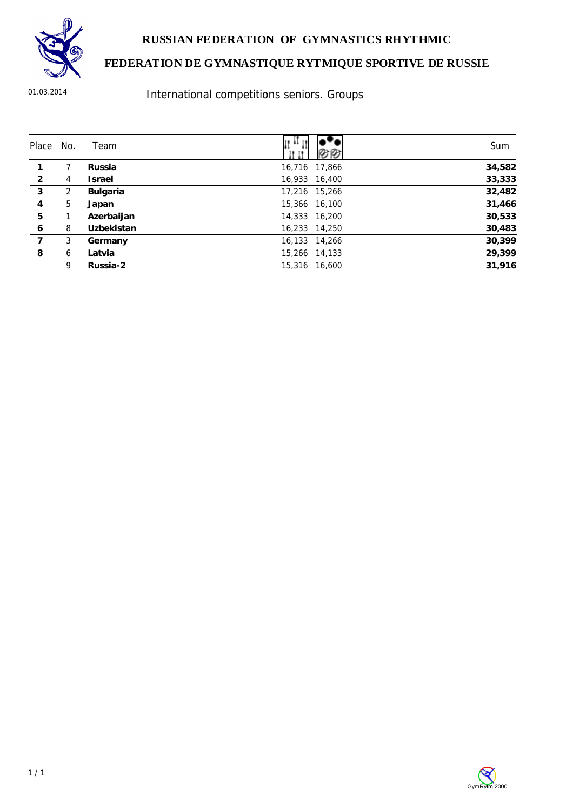

#### **RUSSIAN FEDERATION OF GYMNASTICS RHYTHMIC**

## **FEDERATION DE GYMNASTIQUE RYTMIQUE SPORTIVE DE RUSSIE**

01.03.2014

International competitions seniors. Groups

| Place          | No. | Team              | $\mathfrak{u}$ and $\mathfrak{u}$ | Sum    |
|----------------|-----|-------------------|-----------------------------------|--------|
|                |     | Russia            | 16,716 17,866                     | 34,582 |
| $\overline{2}$ | 4   | <b>Israel</b>     | 16,933 16,400                     | 33,333 |
| $\mathbf{3}$   | 2   | Bulgaria          | 17,216 15,266                     | 32,482 |
| 4              | 5   | Japan             | 15,366 16,100                     | 31,466 |
| 5              |     | Azerbaijan        | 14,333 16,200                     | 30,533 |
| 6              | 8   | <b>Uzbekistan</b> | 16,233 14,250                     | 30,483 |
| 7              | 3   | Germany           | 16,133 14,266                     | 30,399 |
| 8              | 6   | Latvia            | 15,266 14,133                     | 29,399 |
|                | 9   | Russia-2          | 15.316 16.600                     | 31,916 |

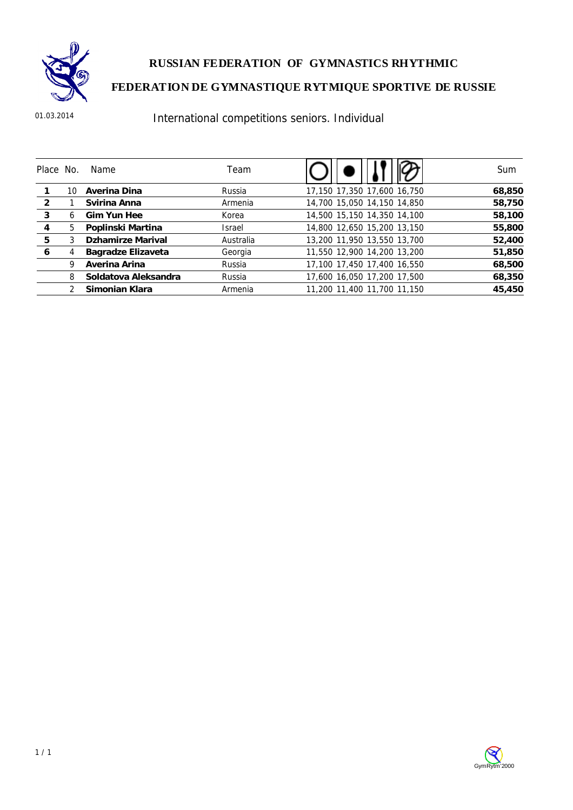

**RUSSIAN FEDERATION OF GYMNASTICS RHYTHMIC** 

# **FEDERATION DE GYMNASTIQUE RYTMIQUE SPORTIVE DE RUSSIE**

01.03.2014

# International competitions seniors. Individual

| Place No. |    | Name                     | Team          |                             | Sum    |
|-----------|----|--------------------------|---------------|-----------------------------|--------|
|           | 10 | Averina Dina             | Russia        | 17,150 17,350 17,600 16,750 | 68,850 |
| 2         |    | Svirina Anna             | Armenia       | 14,700 15,050 14,150 14,850 | 58,750 |
| 3         | 6  | Gim Yun Hee              | Korea         | 14,500 15,150 14,350 14,100 | 58,100 |
| 4         | 5. | Poplinski Martina        | <b>Israel</b> | 14,800 12,650 15,200 13,150 | 55,800 |
| 5         |    | <b>Dzhamirze Marival</b> | Australia     | 13,200 11,950 13,550 13,700 | 52,400 |
| 6         |    | Bagradze Elizaveta       | Georgia       | 11,550 12,900 14,200 13,200 | 51,850 |
|           | 9  | Averina Arina            | Russia        | 17,100 17,450 17,400 16,550 | 68,500 |
|           | 8  | Soldatova Aleksandra     | Russia        | 17,600 16,050 17,200 17,500 | 68,350 |
|           |    | Simonian Klara           | Armenia       | 11,200 11,400 11,700 11,150 | 45,450 |